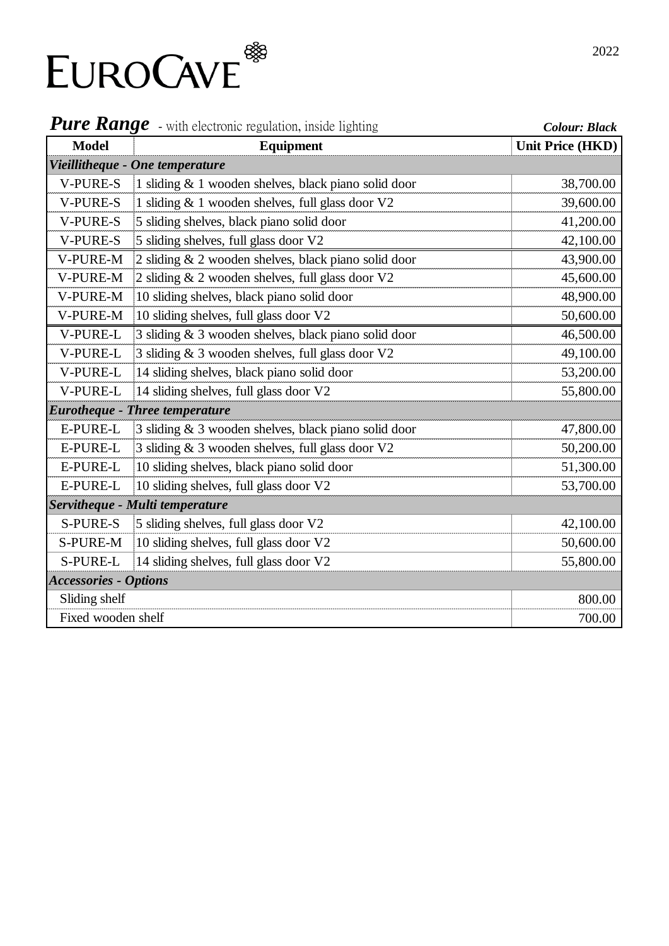

| <b>Pure Range</b> - with electronic regulation, inside lighting |                                                      | <b>Colour: Black</b>    |  |
|-----------------------------------------------------------------|------------------------------------------------------|-------------------------|--|
| <b>Model</b>                                                    | <b>Equipment</b>                                     | <b>Unit Price (HKD)</b> |  |
|                                                                 | Vieillitheque - One temperature                      |                         |  |
| <b>V-PURE-S</b>                                                 | 1 sliding & 1 wooden shelves, black piano solid door | 38,700.00               |  |
| <b>V-PURE-S</b>                                                 | 1 sliding & 1 wooden shelves, full glass door V2     | 39,600.00               |  |
| <b>V-PURE-S</b>                                                 | 5 sliding shelves, black piano solid door            | 41,200.00               |  |
| <b>V-PURE-S</b>                                                 | 5 sliding shelves, full glass door V2                | 42,100.00               |  |
| V-PURE-M                                                        | 2 sliding & 2 wooden shelves, black piano solid door | 43,900.00               |  |
| V-PURE-M                                                        | 2 sliding & 2 wooden shelves, full glass door V2     | 45,600.00               |  |
| V-PURE-M                                                        | 10 sliding shelves, black piano solid door           | 48,900.00               |  |
| V-PURE-M                                                        | 10 sliding shelves, full glass door V2               | 50,600.00               |  |
| V-PURE-L                                                        | 3 sliding & 3 wooden shelves, black piano solid door | 46,500.00               |  |
| V-PURE-L                                                        | 3 sliding & 3 wooden shelves, full glass door V2     | 49,100.00               |  |
| V-PURE-L                                                        | 14 sliding shelves, black piano solid door           | 53,200.00               |  |
| V-PURE-L                                                        | 14 sliding shelves, full glass door V2               | 55,800.00               |  |
|                                                                 | <b>Eurotheque - Three temperature</b>                |                         |  |
| E-PURE-L                                                        | 3 sliding & 3 wooden shelves, black piano solid door | 47,800.00               |  |
| E-PURE-L                                                        | 3 sliding & 3 wooden shelves, full glass door V2     | 50,200.00               |  |
| <b>E-PURE-L</b>                                                 | 10 sliding shelves, black piano solid door           | 51,300.00               |  |
| <b>E-PURE-L</b>                                                 | 10 sliding shelves, full glass door V2               | 53,700.00               |  |
|                                                                 | Servitheque - Multi temperature                      |                         |  |
| <b>S-PURE-S</b>                                                 | 5 sliding shelves, full glass door V2                | 42,100.00               |  |
| <b>S-PURE-M</b>                                                 | 10 sliding shelves, full glass door V2               | 50,600.00               |  |
| S-PURE-L                                                        | 14 sliding shelves, full glass door V2               | 55,800.00               |  |
| <b>Accessories - Options</b>                                    |                                                      |                         |  |
| Sliding shelf                                                   |                                                      | 800.00                  |  |
| Fixed wooden shelf                                              |                                                      | 700.00                  |  |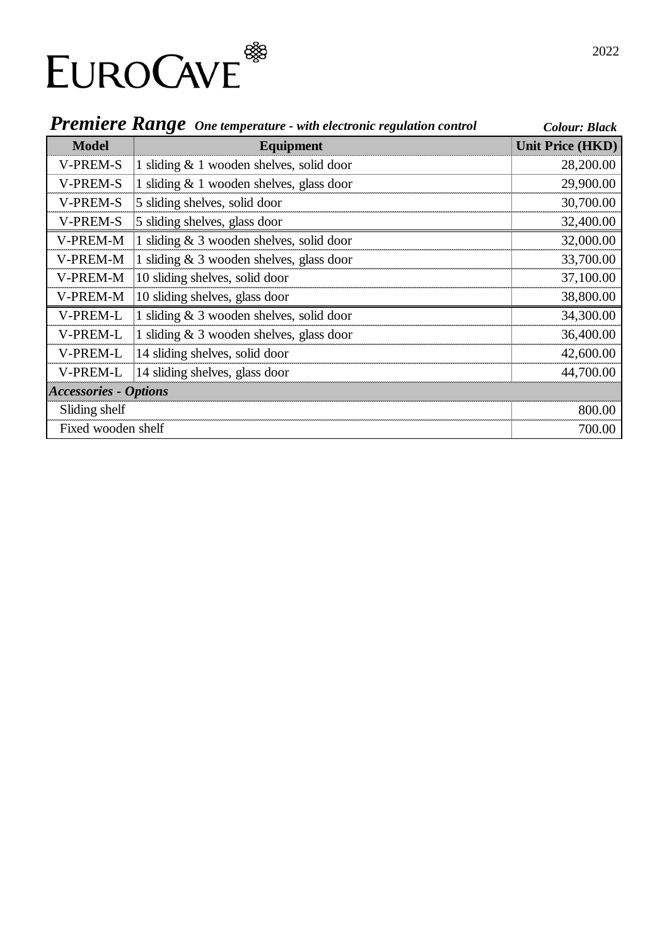

|                              | <b>Premiere Range</b> One temperature - with electronic regulation control | <b>Colour: Black</b>    |
|------------------------------|----------------------------------------------------------------------------|-------------------------|
| <b>Model</b>                 | <b>Equipment</b>                                                           | <b>Unit Price (HKD)</b> |
| <b>V-PREM-S</b>              | 1 sliding $& 1$ wooden shelves, solid door                                 | 28,200.00               |
| <b>V-PREM-S</b>              | 1 sliding $& 1$ wooden shelves, glass door                                 | 29,900.00               |
| <b>V-PREM-S</b>              | 5 sliding shelves, solid door                                              | 30,700.00               |
| <b>V-PREM-S</b>              | 5 sliding shelves, glass door                                              | 32,400.00               |
| V-PREM-M                     | 1 sliding $& 3$ wooden shelves, solid door                                 | 32,000.00               |
| V-PREM-M                     | 1 sliding $& 3$ wooden shelves, glass door                                 | 33,700.00               |
| V-PREM-M                     | 10 sliding shelves, solid door                                             | 37,100.00               |
| V-PREM-M                     | 10 sliding shelves, glass door                                             | 38,800.00               |
| V-PREM-L                     | 1 sliding $& 3$ wooden shelves, solid door                                 | 34,300.00               |
| V-PREM-L                     | 1 sliding $\&$ 3 wooden shelves, glass door                                | 36,400.00               |
| V-PREM-L                     | 14 sliding shelves, solid door                                             | 42,600.00               |
| V-PREM-L                     | 14 sliding shelves, glass door                                             | 44,700.00               |
| <b>Accessories - Options</b> |                                                                            |                         |
| Sliding shelf                |                                                                            | 800.00                  |
| Fixed wooden shelf           |                                                                            | 700.00                  |

# 2022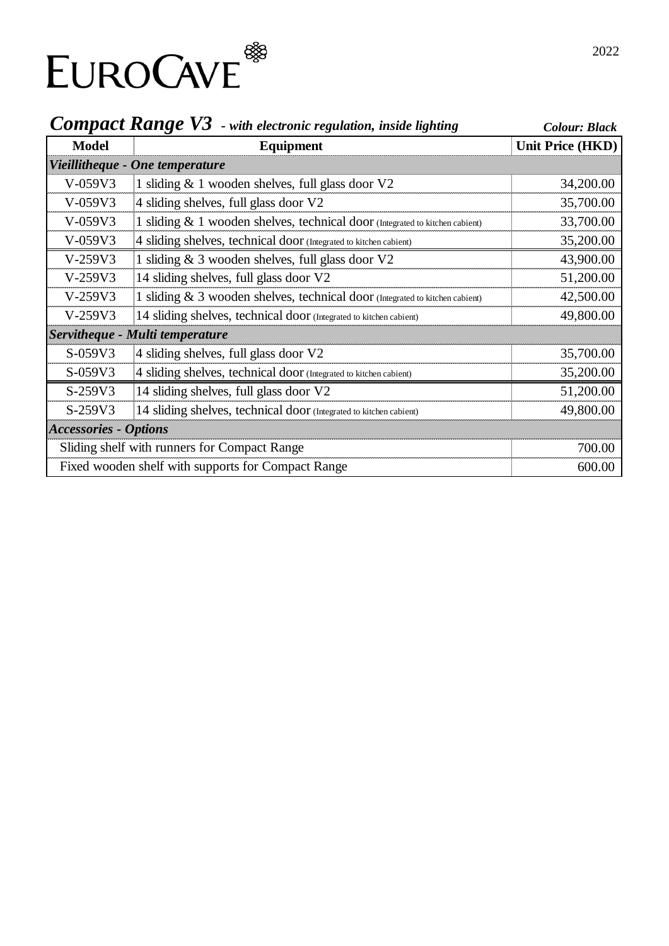

| <b>COMPACT KANGE V5</b> - with electronic regulation, inside lighting |                                                                              | <b>Colour: Black</b> |
|-----------------------------------------------------------------------|------------------------------------------------------------------------------|----------------------|
| <b>Model</b>                                                          | Equipment                                                                    | Unit Price (HKD)     |
|                                                                       | Vieillitheque - One temperature                                              |                      |
| $V-059V3$                                                             | 1 sliding & 1 wooden shelves, full glass door V2                             | 34,200.00            |
| $V-059V3$                                                             | 4 sliding shelves, full glass door V2                                        | 35,700.00            |
| $V-059V3$                                                             | 1 sliding & 1 wooden shelves, technical door (Integrated to kitchen cabient) | 33,700.00            |
| V-059V3                                                               | 4 sliding shelves, technical door (Integrated to kitchen cabient)            | 35,200.00            |
| $V-259V3$                                                             | 1 sliding & 3 wooden shelves, full glass door V2                             | 43,900.00            |
| $V-259V3$                                                             | 14 sliding shelves, full glass door V2                                       | 51,200.00            |
| $V-259V3$                                                             | 1 sliding & 3 wooden shelves, technical door (Integrated to kitchen cabient) | 42,500.00            |
| $V-259V3$                                                             | 14 sliding shelves, technical door (Integrated to kitchen cabient)           | 49,800.00            |
|                                                                       | Servitheque - Multi temperature                                              |                      |
| S-059V3                                                               | 4 sliding shelves, full glass door V2                                        | 35,700.00            |
| S-059V3                                                               | 4 sliding shelves, technical door (Integrated to kitchen cabient)            | 35,200.00            |
| S-259V3                                                               | 14 sliding shelves, full glass door V2                                       | 51,200.00            |
| S-259V3                                                               | 14 sliding shelves, technical door (Integrated to kitchen cabient)           | 49,800.00            |
| <b>Accessories - Options</b>                                          |                                                                              |                      |
|                                                                       | Sliding shelf with runners for Compact Range                                 | 700.00               |
| Fixed wooden shelf with supports for Compact Range                    |                                                                              | 600.00               |

### *Compact Range V3 - with electronic regulation, inside lighting*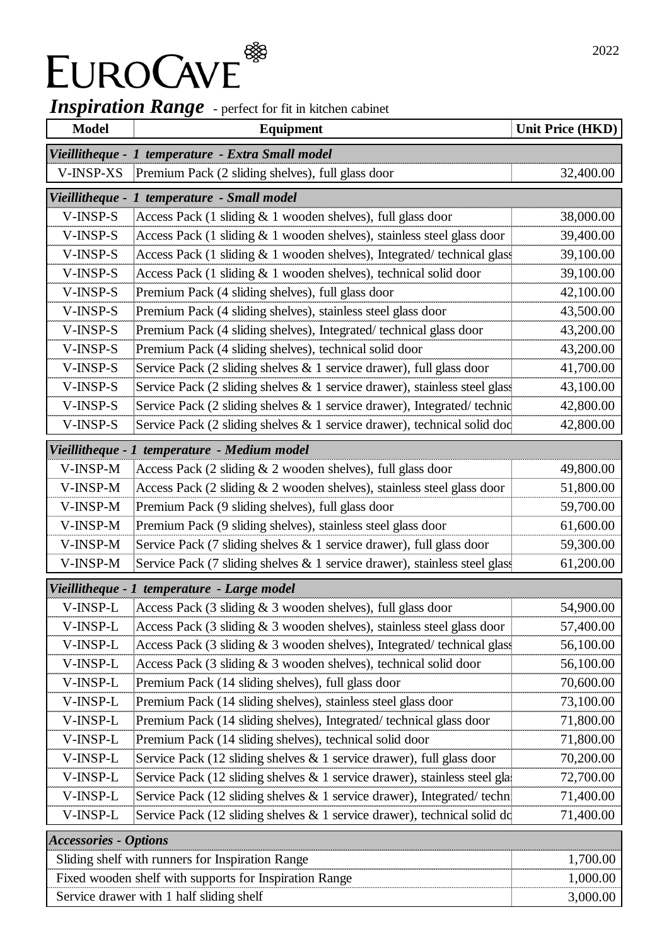# *Inspiration Range* - perfect for fit in kitchen cabinet

| <b>Model</b>                 | <b>Equipment</b>                                                                         | <b>Unit Price (HKD)</b> |
|------------------------------|------------------------------------------------------------------------------------------|-------------------------|
| Vieillitheque -              | 1 temperature - Extra Small model                                                        |                         |
| V-INSP-XS                    | Premium Pack (2 sliding shelves), full glass door                                        | 32,400.00               |
| Vieillitheque -              | 1 temperature - Small model                                                              |                         |
| V-INSP-S                     | Access Pack (1 sliding & 1 wooden shelves), full glass door                              | 38,000.00               |
| V-INSP-S                     | Access Pack (1 sliding & 1 wooden shelves), stainless steel glass door                   | 39,400.00               |
| V-INSP-S                     | Access Pack (1 sliding & 1 wooden shelves), Integrated/technical glass                   | 39,100.00               |
| V-INSP-S                     | Access Pack (1 sliding & 1 wooden shelves), technical solid door                         | 39,100.00               |
| V-INSP-S                     | Premium Pack (4 sliding shelves), full glass door                                        | 42,100.00               |
| V-INSP-S                     | Premium Pack (4 sliding shelves), stainless steel glass door                             | 43,500.00               |
| $V$ -INSP-S                  | Premium Pack (4 sliding shelves), Integrated/technical glass door                        | 43,200.00               |
| V-INSP-S                     | Premium Pack (4 sliding shelves), technical solid door                                   | 43,200.00               |
| V-INSP-S                     | Service Pack $(2 \text{ sliding shelves} \& 1 \text{ service drawer})$ , full glass door | 41,700.00               |
| V-INSP-S                     | Service Pack (2 sliding shelves & 1 service drawer), stainless steel glass               | 43,100.00               |
| V-INSP-S                     | Service Pack (2 sliding shelves $\&$ 1 service drawer), Integrated/technic               | 42,800.00               |
| V-INSP-S                     | Service Pack (2 sliding shelves & 1 service drawer), technical solid doc                 | 42,800.00               |
|                              | Vieillitheque - 1 temperature - Medium model                                             |                         |
| V-INSP-M                     | Access Pack (2 sliding & 2 wooden shelves), full glass door                              | 49,800.00               |
| V-INSP-M                     | Access Pack (2 sliding & 2 wooden shelves), stainless steel glass door                   | 51,800.00               |
| V-INSP-M                     | Premium Pack (9 sliding shelves), full glass door                                        | 59,700.00               |
| V-INSP-M                     | Premium Pack (9 sliding shelves), stainless steel glass door                             | 61,600.00               |
| V-INSP-M                     | Service Pack (7 sliding shelves & 1 service drawer), full glass door                     | 59,300.00               |
| V-INSP-M                     | Service Pack (7 sliding shelves & 1 service drawer), stainless steel glass               | 61,200.00               |
|                              | Vieillitheque - 1 temperature - Large model                                              |                         |
| V-INSP-L                     | Access Pack (3 sliding & 3 wooden shelves), full glass door                              | 54,900.00               |
| V-INSP-L                     | Access Pack (3 sliding & 3 wooden shelves), stainless steel glass door                   | 57,400.00               |
| V-INSP-L                     | Access Pack (3 sliding & 3 wooden shelves), Integrated/technical glass                   | 56,100.00               |
| V-INSP-L                     | Access Pack (3 sliding & 3 wooden shelves), technical solid door                         | 56,100.00               |
| V-INSP-L                     | Premium Pack (14 sliding shelves), full glass door                                       | 70,600.00               |
| V-INSP-L                     | Premium Pack (14 sliding shelves), stainless steel glass door                            | 73,100.00               |
| V-INSP-L                     | Premium Pack (14 sliding shelves), Integrated/technical glass door                       | 71,800.00               |
| V-INSP-L                     | Premium Pack (14 sliding shelves), technical solid door                                  | 71,800.00               |
| V-INSP-L                     | Service Pack (12 sliding shelves & 1 service drawer), full glass door                    | 70,200.00               |
| V-INSP-L                     | Service Pack (12 sliding shelves & 1 service drawer), stainless steel gla                | 72,700.00               |
| V-INSP-L                     | Service Pack (12 sliding shelves & 1 service drawer), Integrated/techn                   | 71,400.00               |
| V-INSP-L                     | Service Pack (12 sliding shelves & 1 service drawer), technical solid do                 | 71,400.00               |
| <b>Accessories - Options</b> |                                                                                          |                         |
|                              | Sliding shelf with runners for Inspiration Range                                         | 1,700.00                |
|                              | Fixed wooden shelf with supports for Inspiration Range                                   | 1,000.00                |
|                              | Service drawer with 1 half sliding shelf                                                 | 3,000.00                |